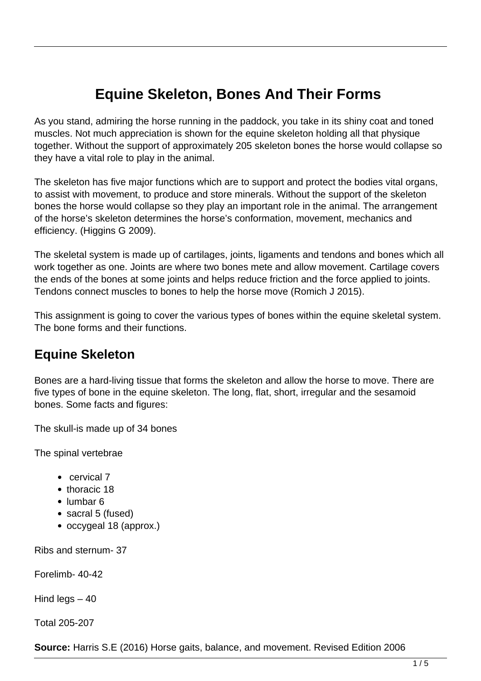# **Equine Skeleton, Bones And Their Forms**

As you stand, admiring the horse running in the paddock, you take in its shiny coat and toned muscles. Not much appreciation is shown for the equine skeleton holding all that physique together. Without the support of approximately 205 skeleton bones the horse would collapse so they have a vital role to play in the animal.

The skeleton has five major functions which are to support and protect the bodies vital organs, to assist with movement, to produce and store minerals. Without the support of the skeleton bones the horse would collapse so they play an important role in the animal. The arrangement of the horse's skeleton determines the horse's conformation, movement, mechanics and efficiency. (Higgins G 2009).

The skeletal system is made up of cartilages, joints, ligaments and tendons and bones which all work together as one. Joints are where two bones mete and allow movement. Cartilage covers the ends of the bones at some joints and helps reduce friction and the force applied to joints. Tendons connect muscles to bones to help the horse move (Romich J 2015).

This assignment is going to cover the various types of bones within the equine skeletal system. The bone forms and their functions.

#### **Equine Skeleton**

Bones are a hard-living tissue that forms the skeleton and allow the horse to move. There are five types of bone in the equine skeleton. The long, flat, short, irregular and the sesamoid bones. Some facts and figures:

The skull-is made up of 34 bones

The spinal vertebrae

- cervical 7
- thoracic 18
- lumbar 6
- sacral 5 (fused)
- occygeal 18 (approx.)

Ribs and sternum- 37

Forelimb- 40-42

Hind legs  $-40$ 

Total 205-207

**Source:** Harris S.E (2016) Horse gaits, balance, and movement. Revised Edition 2006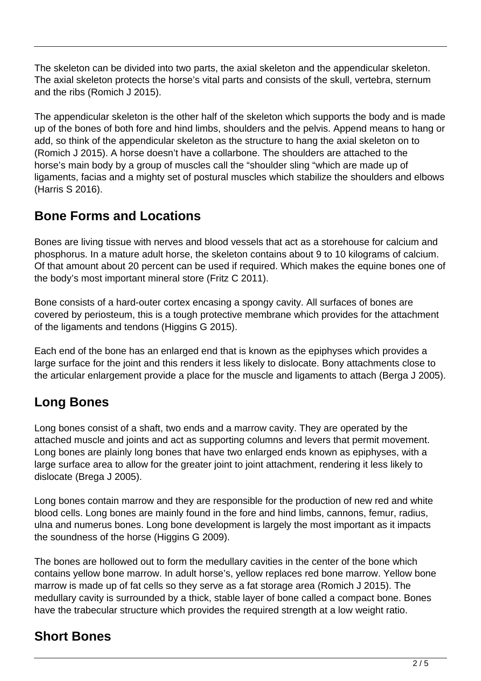The skeleton can be divided into two parts, the axial skeleton and the appendicular skeleton. The axial skeleton protects the horse's vital parts and consists of the skull, vertebra, sternum and the ribs (Romich J 2015).

The appendicular skeleton is the other half of the skeleton which supports the body and is made up of the bones of both fore and hind limbs, shoulders and the pelvis. Append means to hang or add, so think of the appendicular skeleton as the structure to hang the axial skeleton on to (Romich J 2015). A horse doesn't have a collarbone. The shoulders are attached to the horse's main body by a group of muscles call the "shoulder sling "which are made up of ligaments, facias and a mighty set of postural muscles which stabilize the shoulders and elbows (Harris S 2016).

#### **Bone Forms and Locations**

Bones are living tissue with nerves and blood vessels that act as a storehouse for calcium and phosphorus. In a mature adult horse, the skeleton contains about 9 to 10 kilograms of calcium. Of that amount about 20 percent can be used if required. Which makes the equine bones one of the body's most important mineral store (Fritz C 2011).

Bone consists of a hard-outer cortex encasing a spongy cavity. All surfaces of bones are covered by periosteum, this is a tough protective membrane which provides for the attachment of the ligaments and tendons (Higgins G 2015).

Each end of the bone has an enlarged end that is known as the epiphyses which provides a large surface for the joint and this renders it less likely to dislocate. Bony attachments close to the articular enlargement provide a place for the muscle and ligaments to attach (Berga J 2005).

# **Long Bones**

Long bones consist of a shaft, two ends and a marrow cavity. They are operated by the attached muscle and joints and act as supporting columns and levers that permit movement. Long bones are plainly long bones that have two enlarged ends known as epiphyses, with a large surface area to allow for the greater joint to joint attachment, rendering it less likely to dislocate (Brega J 2005).

Long bones contain marrow and they are responsible for the production of new red and white blood cells. Long bones are mainly found in the fore and hind limbs, cannons, femur, radius, ulna and numerus bones. Long bone development is largely the most important as it impacts the soundness of the horse (Higgins G 2009).

The bones are hollowed out to form the medullary cavities in the center of the bone which contains yellow bone marrow. In adult horse's, yellow replaces red bone marrow. Yellow bone marrow is made up of fat cells so they serve as a fat storage area (Romich J 2015). The medullary cavity is surrounded by a thick, stable layer of bone called a compact bone. Bones have the trabecular structure which provides the required strength at a low weight ratio.

### **Short Bones**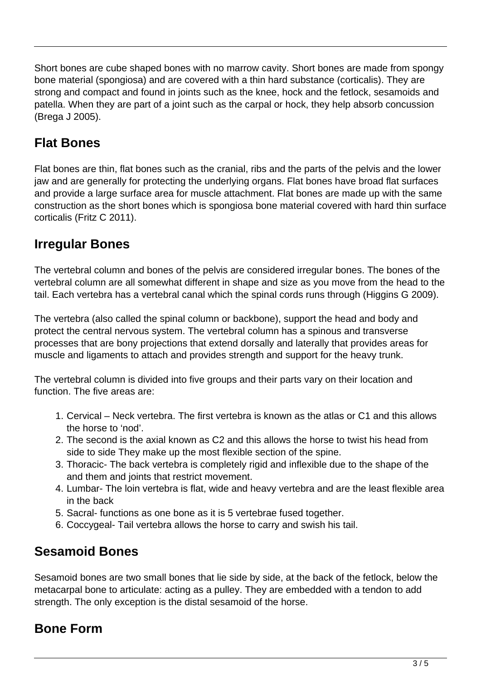Short bones are cube shaped bones with no marrow cavity. Short bones are made from spongy bone material (spongiosa) and are covered with a thin hard substance (corticalis). They are strong and compact and found in joints such as the knee, hock and the fetlock, sesamoids and patella. When they are part of a joint such as the carpal or hock, they help absorb concussion (Brega J 2005).

# **Flat Bones**

Flat bones are thin, flat bones such as the cranial, ribs and the parts of the pelvis and the lower jaw and are generally for protecting the underlying organs. Flat bones have broad flat surfaces and provide a large surface area for muscle attachment. Flat bones are made up with the same construction as the short bones which is spongiosa bone material covered with hard thin surface corticalis (Fritz C 2011).

### **Irregular Bones**

The vertebral column and bones of the pelvis are considered irregular bones. The bones of the vertebral column are all somewhat different in shape and size as you move from the head to the tail. Each vertebra has a vertebral canal which the spinal cords runs through (Higgins G 2009).

The vertebra (also called the spinal column or backbone), support the head and body and protect the central nervous system. The vertebral column has a spinous and transverse processes that are bony projections that extend dorsally and laterally that provides areas for muscle and ligaments to attach and provides strength and support for the heavy trunk.

The vertebral column is divided into five groups and their parts vary on their location and function. The five areas are:

- 1. Cervical Neck vertebra. The first vertebra is known as the atlas or C1 and this allows the horse to 'nod'.
- 2. The second is the axial known as C2 and this allows the horse to twist his head from side to side They make up the most flexible section of the spine.
- 3. Thoracic- The back vertebra is completely rigid and inflexible due to the shape of the and them and joints that restrict movement.
- 4. Lumbar- The loin vertebra is flat, wide and heavy vertebra and are the least flexible area in the back
- 5. Sacral- functions as one bone as it is 5 vertebrae fused together.
- 6. Coccygeal- Tail vertebra allows the horse to carry and swish his tail.

### **Sesamoid Bones**

Sesamoid bones are two small bones that lie side by side, at the back of the fetlock, below the metacarpal bone to articulate: acting as a pulley. They are embedded with a tendon to add strength. The only exception is the distal sesamoid of the horse.

# **Bone Form**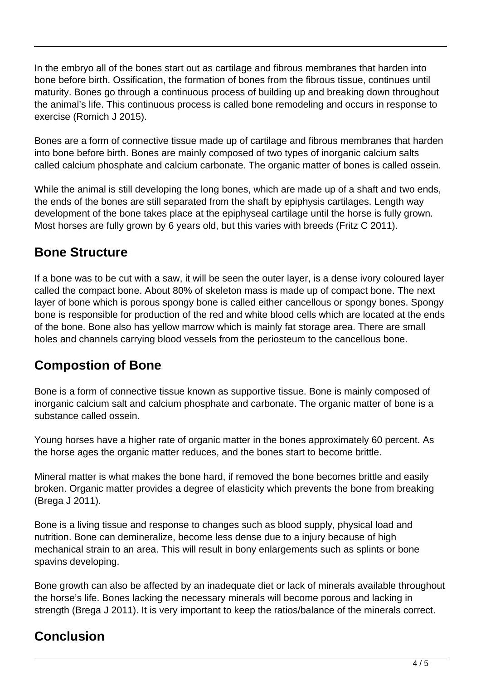In the embryo all of the bones start out as cartilage and fibrous membranes that harden into bone before birth. Ossification, the formation of bones from the fibrous tissue, continues until maturity. Bones go through a continuous process of building up and breaking down throughout the animal's life. This continuous process is called bone remodeling and occurs in response to exercise (Romich J 2015).

Bones are a form of connective tissue made up of cartilage and fibrous membranes that harden into bone before birth. Bones are mainly composed of two types of inorganic calcium salts called calcium phosphate and calcium carbonate. The organic matter of bones is called ossein.

While the animal is still developing the long bones, which are made up of a shaft and two ends, the ends of the bones are still separated from the shaft by epiphysis cartilages. Length way development of the bone takes place at the epiphyseal cartilage until the horse is fully grown. Most horses are fully grown by 6 years old, but this varies with breeds (Fritz C 2011).

### **Bone Structure**

If a bone was to be cut with a saw, it will be seen the outer layer, is a dense ivory coloured layer called the compact bone. About 80% of skeleton mass is made up of compact bone. The next layer of bone which is porous spongy bone is called either cancellous or spongy bones. Spongy bone is responsible for production of the red and white blood cells which are located at the ends of the bone. Bone also has yellow marrow which is mainly fat storage area. There are small holes and channels carrying blood vessels from the periosteum to the cancellous bone.

# **Compostion of Bone**

Bone is a form of connective tissue known as supportive tissue. Bone is mainly composed of inorganic calcium salt and calcium phosphate and carbonate. The organic matter of bone is a substance called ossein.

Young horses have a higher rate of organic matter in the bones approximately 60 percent. As the horse ages the organic matter reduces, and the bones start to become brittle.

Mineral matter is what makes the bone hard, if removed the bone becomes brittle and easily broken. Organic matter provides a degree of elasticity which prevents the bone from breaking (Brega J 2011).

Bone is a living tissue and response to changes such as blood supply, physical load and nutrition. Bone can demineralize, become less dense due to a injury because of high mechanical strain to an area. This will result in bony enlargements such as splints or bone spavins developing.

Bone growth can also be affected by an inadequate diet or lack of minerals available throughout the horse's life. Bones lacking the necessary minerals will become porous and lacking in strength (Brega J 2011). It is very important to keep the ratios/balance of the minerals correct.

# **Conclusion**